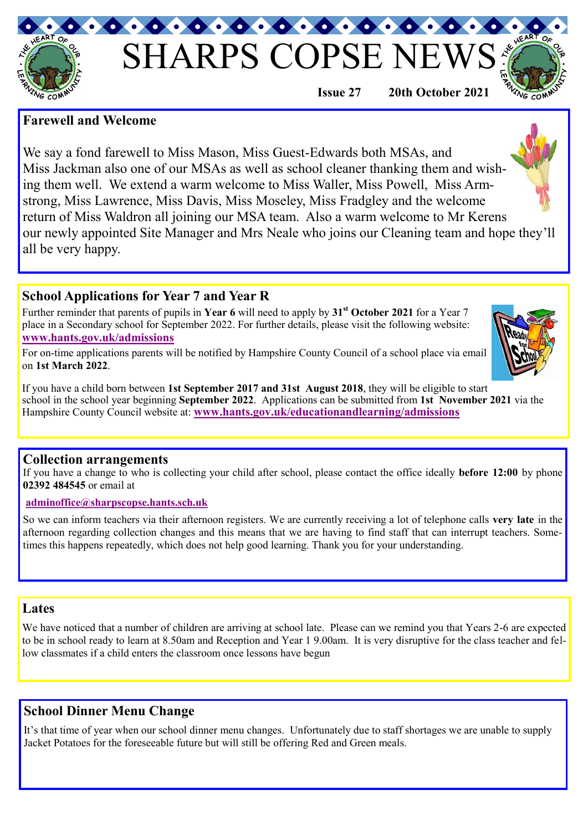# SHARPS COPSE NI

## **Farewell and Welcome**

VG COM

We say a fond farewell to Miss Mason, Miss Guest-Edwards both MSAs, and Miss Jackman also one of our MSAs as well as school cleaner thanking them and wishing them well. We extend a warm welcome to Miss Waller, Miss Powell, Miss Armstrong, Miss Lawrence, Miss Davis, Miss Moseley, Miss Fradgley and the welcome return of Miss Waldron all joining our MSA team. Also a warm welcome to Mr Kerens our newly appointed Site Manager and Mrs Neale who joins our Cleaning team and hope they'll all be very happy.

# **School Applications for Year 7 and Year R**

Further reminder that parents of pupils in **Year 6** will need to apply by **31st October 2021** for a Year 7 place in a Secondary school for September 2022. For further details, please visit the following website: **[www.hants.gov.uk/admissions](http://www.hants.gov.uk/admissions)**

For on-time applications parents will be notified by Hampshire County Council of a school place via email on **1st March 2022**.

If you have a child born between **1st September 2017 and 31st August 2018**, they will be eligible to start school in the school year beginning **September 2022**. Applications can be submitted from **1st November 2021** via the Hampshire County Council website at: **[www.hants.gov.uk/educationandlearning/admissions](http://www.hants.gov.uk/educationandlearning/admissions)** 

#### **Collection arrangements**

If you have a change to who is collecting your child after school, please contact the office ideally **before 12:00** by phone **02392 484545** or email at

#### **adminoffice@sharpscopse.hants.sch.uk**

So we can inform teachers via their afternoon registers. We are currently receiving a lot of telephone calls **very late** in the afternoon regarding collection changes and this means that we are having to find staff that can interrupt teachers. Sometimes this happens repeatedly, which does not help good learning. Thank you for your understanding.

#### **Lates**

We have noticed that a number of children are arriving at school late. Please can we remind you that Years 2-6 are expected to be in school ready to learn at 8.50am and Reception and Year 1 9.00am. It is very disruptive for the class teacher and fellow classmates if a child enters the classroom once lessons have begun

# **School Dinner Menu Change**

It's that time of year when our school dinner menu changes. Unfortunately due to staff shortages we are unable to supply Jacket Potatoes for the foreseeable future but will still be offering Red and Green meals.





**Issue 27 20th October 2021**